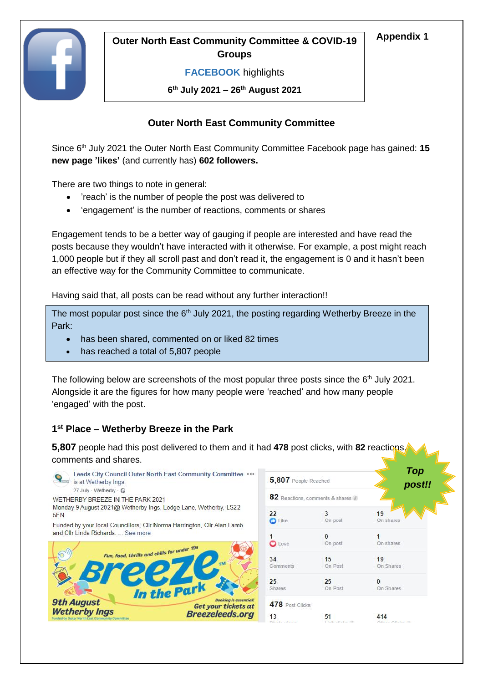

# **Appendix 1 Outer North East Community Committee & COVID-19 Groups**

#### **FACEBOOK** highlights

**6 th July 2021 – 26th August 2021**

# **Outer North East Community Committee**

Since 6<sup>th</sup> July 2021 the Outer North East Community Committee Facebook page has gained: 15 **new page 'likes'** (and currently has) **602 followers.**

There are two things to note in general:

- 'reach' is the number of people the post was delivered to
- 'engagement' is the number of reactions, comments or shares

Engagement tends to be a better way of gauging if people are interested and have read the posts because they wouldn't have interacted with it otherwise. For example, a post might reach 1,000 people but if they all scroll past and don't read it, the engagement is 0 and it hasn't been an effective way for the Community Committee to communicate.

Having said that, all posts can be read without any further interaction!!

The most popular post since the  $6<sup>th</sup>$  July 2021, the posting regarding Wetherby Breeze in the Park:

- has been shared, commented on or liked 82 times
- has reached a total of 5,807 people

The following below are screenshots of the most popular three posts since the  $6<sup>th</sup>$  July 2021. Alongside it are the figures for how many people were 'reached' and how many people 'engaged' with the post.

# **1 st Place – Wetherby Breeze in the Park**

**5,807** people had this post delivered to them and it had **478** post clicks, with **82** reactions, comments and shares.



*Top post!!*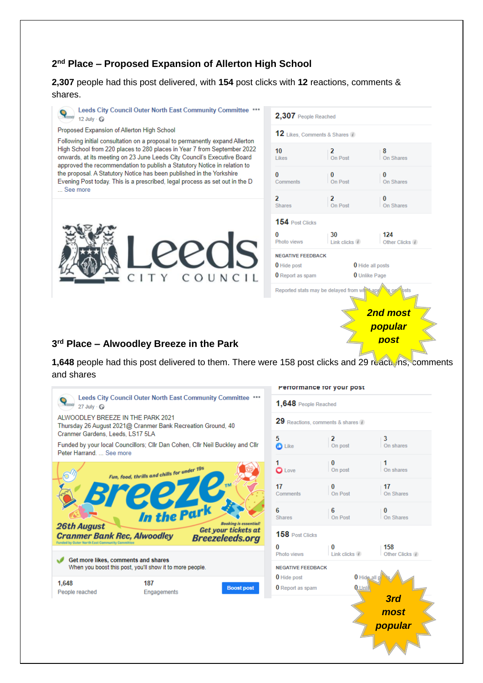# **2 nd Place – Proposed Expansion of Allerton High School**

**2,307** people had this post delivered, with **154** post clicks with **12** reactions, comments & shares.



**Boost post** 

Funded by your local Councillors; Cllr Dan Cohen, Cllr Neil Buckley and Cllr Peter Harrand. ... See more



187

Engagements

1.648

People reached



*most popula*